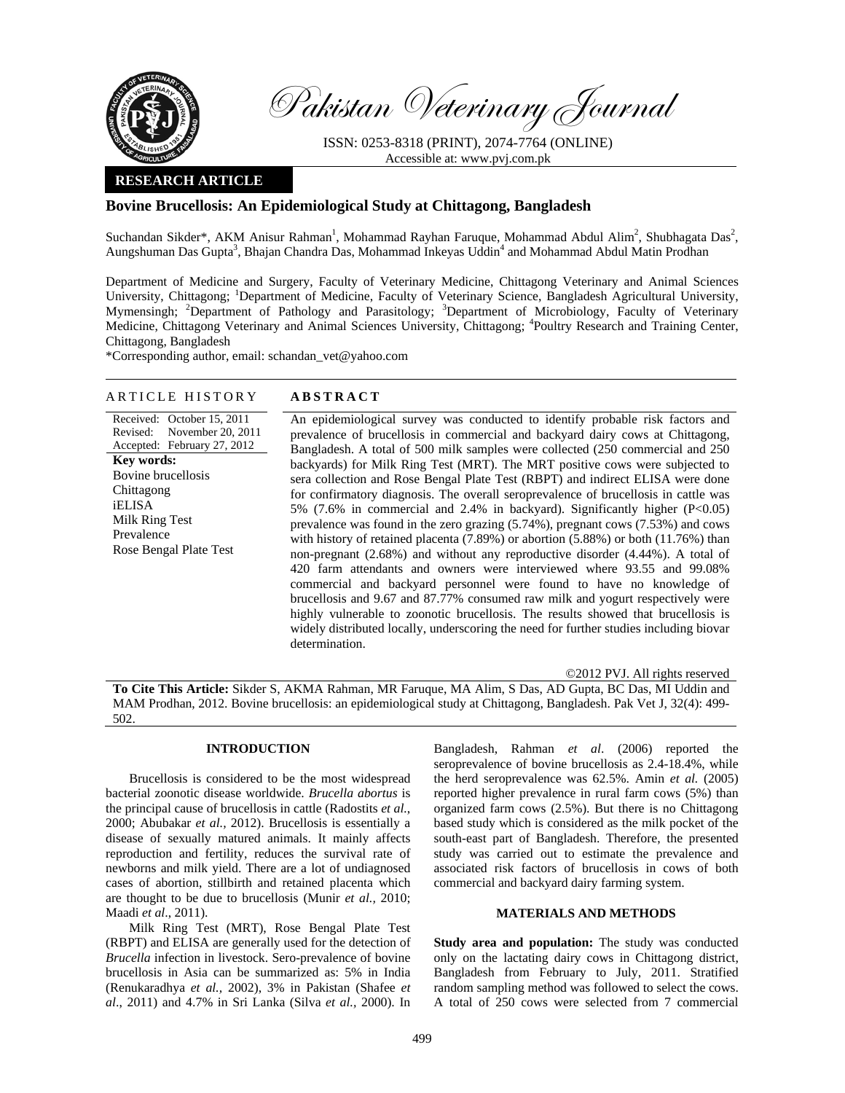

Pakistan Veterinary Journal

ISSN: 0253-8318 (PRINT), 2074-7764 (ONLINE) Accessible at: www.pvj.com.pk

## **RESEARCH ARTICLE**

# **Bovine Brucellosis: An Epidemiological Study at Chittagong, Bangladesh**

Suchandan Sikder\*, AKM Anisur Rahman<sup>1</sup>, Mohammad Rayhan Faruque, Mohammad Abdul Alim<sup>2</sup>, Shubhagata Das<sup>2</sup>, Aungshuman Das Gupta<sup>3</sup>, Bhajan Chandra Das, Mohammad Inkeyas Uddin<sup>4</sup> and Mohammad Abdul Matin Prodhan

Department of Medicine and Surgery, Faculty of Veterinary Medicine, Chittagong Veterinary and Animal Sciences University, Chittagong; <sup>1</sup>Department of Medicine, Faculty of Veterinary Science, Bangladesh Agricultural University, Mymensingh; <sup>2</sup>Department of Pathology and Parasitology; <sup>3</sup>Department of Microbiology, Faculty of Veterinary Medicine, Chittagong Veterinary and Animal Sciences University, Chittagong; <sup>4</sup>Poultry Research and Training Center, Chittagong, Bangladesh

\*Corresponding author, email: schandan\_vet@yahoo.com

### ARTICLE HISTORY **ABSTRACT**

Received: October 15, 2011 Revised: Accepted: February 27, 2012 November 20, 2011 **Key words:**  Bovine brucellosis Chittagong iELISA Milk Ring Test Prevalence Rose Bengal Plate Test

An epidemiological survey was conducted to identify probable risk factors and prevalence of brucellosis in commercial and backyard dairy cows at Chittagong, Bangladesh. A total of 500 milk samples were collected (250 commercial and 250 backyards) for Milk Ring Test (MRT). The MRT positive cows were subjected to sera collection and Rose Bengal Plate Test (RBPT) and indirect ELISA were done for confirmatory diagnosis. The overall seroprevalence of brucellosis in cattle was 5% (7.6% in commercial and 2.4% in backyard). Significantly higher (P<0.05) prevalence was found in the zero grazing (5.74%), pregnant cows (7.53%) and cows with history of retained placenta (7.89%) or abortion (5.88%) or both (11.76%) than non-pregnant (2.68%) and without any reproductive disorder (4.44%). A total of 420 farm attendants and owners were interviewed where 93.55 and 99.08% commercial and backyard personnel were found to have no knowledge of brucellosis and 9.67 and 87.77% consumed raw milk and yogurt respectively were highly vulnerable to zoonotic brucellosis. The results showed that brucellosis is widely distributed locally, underscoring the need for further studies including biovar determination.

©2012 PVJ. All rights reserved

**To Cite This Article:** Sikder S, AKMA Rahman, MR Faruque, MA Alim, S Das, AD Gupta, BC Das, MI Uddin and MAM Prodhan, 2012. Bovine brucellosis: an epidemiological study at Chittagong, Bangladesh. Pak Vet J, 32(4): 499- 502.

# **INTRODUCTION**

Brucellosis is considered to be the most widespread bacterial zoonotic disease worldwide. *Brucella abortus* is the principal cause of brucellosis in cattle (Radostits *et al.*, 2000; Abubakar *et al.,* 2012). Brucellosis is essentially a disease of sexually matured animals. It mainly affects reproduction and fertility, reduces the survival rate of newborns and milk yield. There are a lot of undiagnosed cases of abortion, stillbirth and retained placenta which are thought to be due to brucellosis (Munir *et al.,* 2010; Maadi *et al*., 2011).

Milk Ring Test (MRT), Rose Bengal Plate Test (RBPT) and ELISA are generally used for the detection of *Brucella* infection in livestock. Sero-prevalence of bovine brucellosis in Asia can be summarized as: 5% in India (Renukaradhya *et al.,* 2002), 3% in Pakistan (Shafee *et al*., 2011) and 4.7% in Sri Lanka (Silva *et al.,* 2000). In

Bangladesh, Rahman *et al*. (2006) reported the seroprevalence of bovine brucellosis as 2.4-18.4%, while the herd seroprevalence was 62.5%. Amin *et al.* (2005) reported higher prevalence in rural farm cows (5%) than organized farm cows (2.5%). But there is no Chittagong based study which is considered as the milk pocket of the south-east part of Bangladesh. Therefore, the presented study was carried out to estimate the prevalence and associated risk factors of brucellosis in cows of both commercial and backyard dairy farming system.

## **MATERIALS AND METHODS**

**Study area and population:** The study was conducted only on the lactating dairy cows in Chittagong district, Bangladesh from February to July, 2011. Stratified random sampling method was followed to select the cows. A total of 250 cows were selected from 7 commercial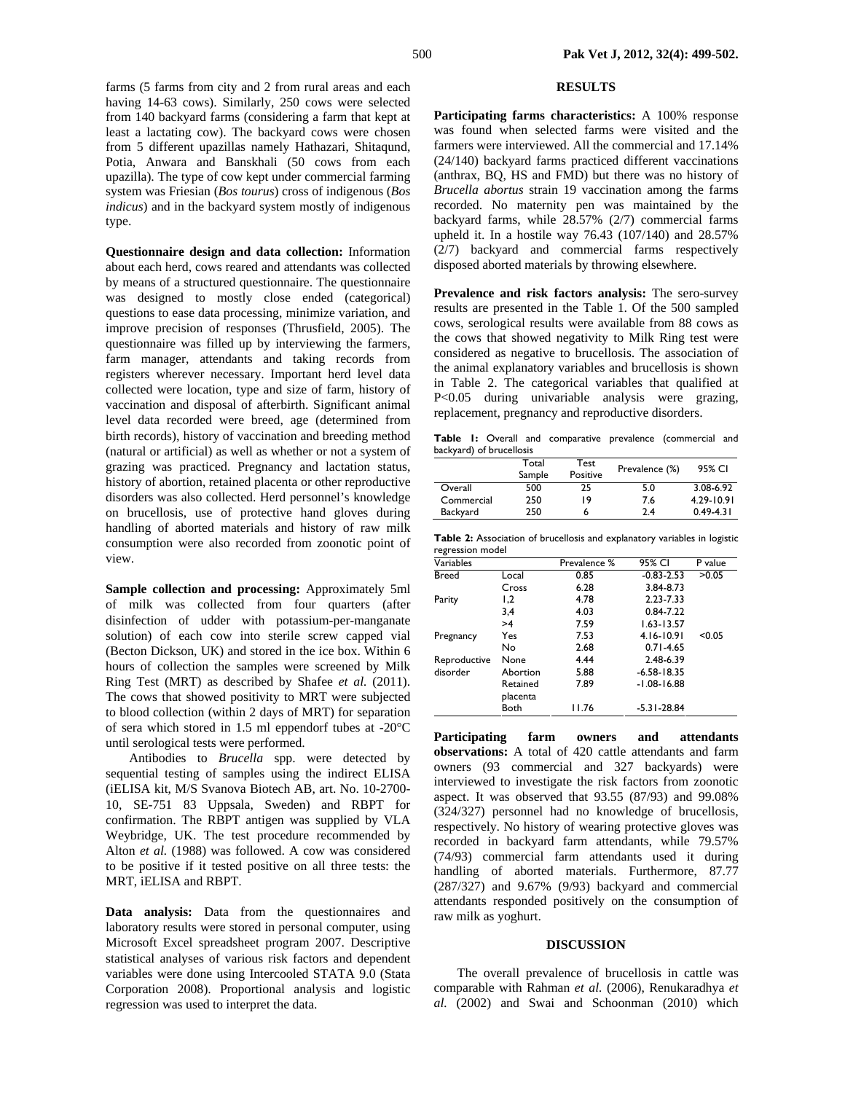farms (5 farms from city and 2 from rural areas and each having 14-63 cows). Similarly, 250 cows were selected from 140 backyard farms (considering a farm that kept at least a lactating cow). The backyard cows were chosen from 5 different upazillas namely Hathazari, Shitaqund, Potia, Anwara and Banskhali (50 cows from each upazilla). The type of cow kept under commercial farming system was Friesian (*Bos tourus*) cross of indigenous (*Bos indicus*) and in the backyard system mostly of indigenous type.

**Questionnaire design and data collection:** Information about each herd, cows reared and attendants was collected by means of a structured questionnaire. The questionnaire was designed to mostly close ended (categorical) questions to ease data processing, minimize variation, and improve precision of responses (Thrusfield, 2005). The questionnaire was filled up by interviewing the farmers, farm manager, attendants and taking records from registers wherever necessary. Important herd level data collected were location, type and size of farm, history of vaccination and disposal of afterbirth. Significant animal level data recorded were breed, age (determined from birth records), history of vaccination and breeding method (natural or artificial) as well as whether or not a system of grazing was practiced. Pregnancy and lactation status, history of abortion, retained placenta or other reproductive disorders was also collected. Herd personnel's knowledge on brucellosis, use of protective hand gloves during handling of aborted materials and history of raw milk consumption were also recorded from zoonotic point of view.

**Sample collection and processing:** Approximately 5ml of milk was collected from four quarters (after disinfection of udder with potassium-per-manganate solution) of each cow into sterile screw capped vial (Becton Dickson, UK) and stored in the ice box. Within 6 hours of collection the samples were screened by Milk Ring Test (MRT) as described by Shafee *et al.* (2011). The cows that showed positivity to MRT were subjected to blood collection (within 2 days of MRT) for separation of sera which stored in 1.5 ml eppendorf tubes at -20°C until serological tests were performed.

Antibodies to *Brucella* spp. were detected by sequential testing of samples using the indirect ELISA (iELISA kit, M/S Svanova Biotech AB, art. No. 10-2700- 10, SE-751 83 Uppsala, Sweden) and RBPT for confirmation. The RBPT antigen was supplied by VLA Weybridge, UK. The test procedure recommended by Alton *et al.* (1988) was followed. A cow was considered to be positive if it tested positive on all three tests: the MRT, iELISA and RBPT.

**Data analysis:** Data from the questionnaires and laboratory results were stored in personal computer, using Microsoft Excel spreadsheet program 2007. Descriptive statistical analyses of various risk factors and dependent variables were done using Intercooled STATA 9.0 (Stata Corporation 2008). Proportional analysis and logistic regression was used to interpret the data.

### **RESULTS**

**Participating farms characteristics:** A 100% response was found when selected farms were visited and the farmers were interviewed. All the commercial and 17.14% (24/140) backyard farms practiced different vaccinations (anthrax, BQ, HS and FMD) but there was no history of *Brucella abortus* strain 19 vaccination among the farms recorded. No maternity pen was maintained by the backyard farms, while 28.57% (2/7) commercial farms upheld it. In a hostile way 76.43 (107/140) and 28.57% (2/7) backyard and commercial farms respectively disposed aborted materials by throwing elsewhere.

**Prevalence and risk factors analysis:** The sero-survey results are presented in the Table 1. Of the 500 sampled cows, serological results were available from 88 cows as the cows that showed negativity to Milk Ring test were considered as negative to brucellosis. The association of the animal explanatory variables and brucellosis is shown in Table 2. The categorical variables that qualified at P<0.05 during univariable analysis were grazing, replacement, pregnancy and reproductive disorders.

**Table 1:** Overall and comparative prevalence (commercial and backyard) of brucellosis

|            | Total  | Test     | Prevalence (%) | 95% CI        |  |
|------------|--------|----------|----------------|---------------|--|
|            | Sample | Positive |                |               |  |
| Overall    | 500    | 25       | 5.0            | 3.08-6.92     |  |
| Commercial | 250    | 19       | 7.6            | 4.29-10.91    |  |
| Backyard   | 250    |          | 2.4            | $0.49 - 4.31$ |  |

|                  | Table 2: Association of brucellosis and explanatory variables in logistic |  |
|------------------|---------------------------------------------------------------------------|--|
| regression model |                                                                           |  |

| <b>I CALCONON INDUCT</b> |          |              |                 |         |  |  |  |
|--------------------------|----------|--------------|-----------------|---------|--|--|--|
| Variables                |          | Prevalence % | 95% CI          | P value |  |  |  |
| <b>Breed</b>             | Local    | 0.85         | $-0.83 - 2.53$  | >0.05   |  |  |  |
|                          | Cross    | 6.28         | 3.84-8.73       |         |  |  |  |
| Parity                   | 1,2      | 4.78         | 2.23-7.33       |         |  |  |  |
|                          | 3,4      | 4.03         | 0.84-7.22       |         |  |  |  |
|                          | >4       | 7.59         | $1.63 - 13.57$  |         |  |  |  |
| Pregnancy                | Yes      | 7.53         | 4.16-10.91      | < 0.05  |  |  |  |
|                          | No       | 2.68         | $0.71 - 4.65$   |         |  |  |  |
| Reproductive             | None     | 4.44         | 2.48-6.39       |         |  |  |  |
| disorder                 | Abortion | 5.88         | $-6.58 - 18.35$ |         |  |  |  |
|                          | Retained | 7.89         | $-1.08 - 16.88$ |         |  |  |  |
|                          | placenta |              |                 |         |  |  |  |
|                          | Both     | 11.76        | $-5.31 - 28.84$ |         |  |  |  |

**Participating farm owners and attendants observations:** A total of 420 cattle attendants and farm owners (93 commercial and 327 backyards) were interviewed to investigate the risk factors from zoonotic aspect. It was observed that 93.55 (87/93) and 99.08% (324/327) personnel had no knowledge of brucellosis, respectively. No history of wearing protective gloves was recorded in backyard farm attendants, while 79.57% (74/93) commercial farm attendants used it during handling of aborted materials. Furthermore, 87.77 (287/327) and 9.67% (9/93) backyard and commercial attendants responded positively on the consumption of raw milk as yoghurt.

#### **DISCUSSION**

The overall prevalence of brucellosis in cattle was comparable with Rahman *et al.* (2006), Renukaradhya *et al.* (2002) and Swai and Schoonman (2010) which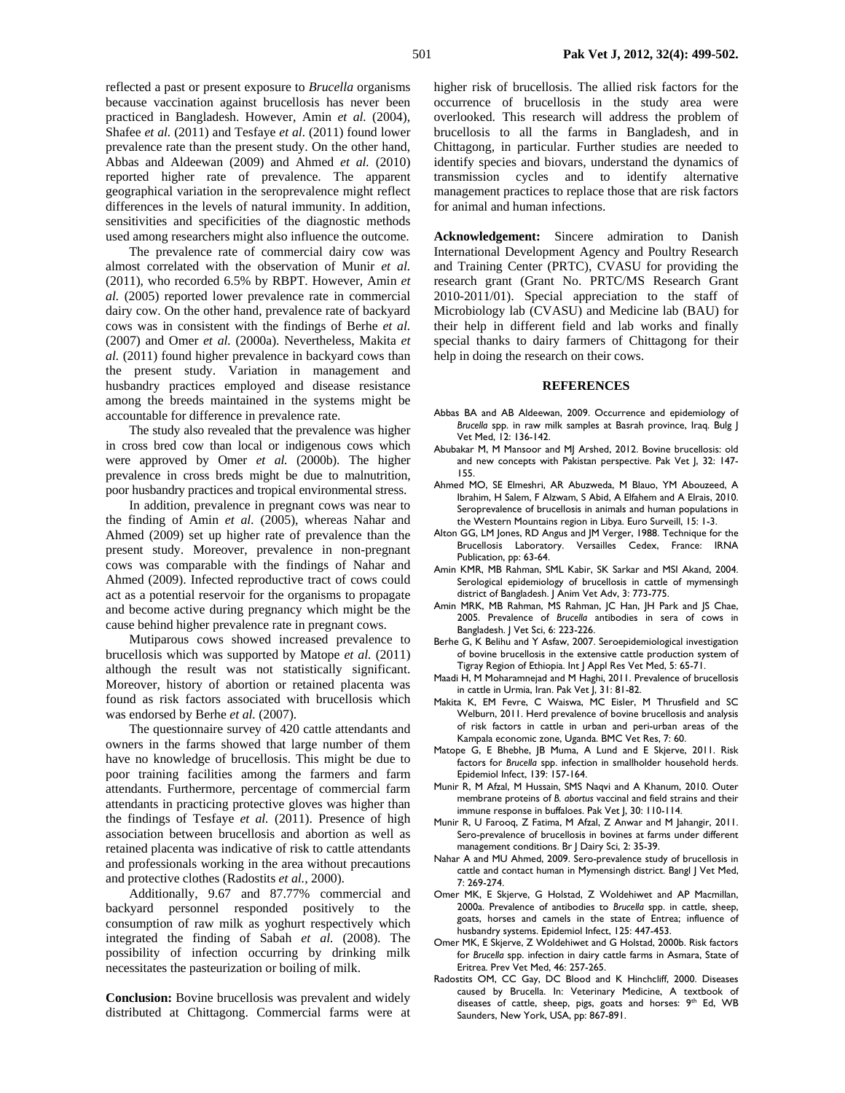reflected a past or present exposure to *Brucella* organisms because vaccination against brucellosis has never been practiced in Bangladesh. However, Amin *et al.* (2004), Shafee *et al.* (2011) and Tesfaye *et al.* (2011) found lower prevalence rate than the present study. On the other hand, Abbas and Aldeewan (2009) and Ahmed *et al.* (2010) reported higher rate of prevalence. The apparent geographical variation in the seroprevalence might reflect differences in the levels of natural immunity. In addition, sensitivities and specificities of the diagnostic methods used among researchers might also influence the outcome.

The prevalence rate of commercial dairy cow was almost correlated with the observation of Munir *et al.* (2011), who recorded 6.5% by RBPT. However, Amin *et al.* (2005) reported lower prevalence rate in commercial dairy cow. On the other hand, prevalence rate of backyard cows was in consistent with the findings of Berhe *et al.* (2007) and Omer *et al.* (2000a). Nevertheless, Makita *et al.* (2011) found higher prevalence in backyard cows than the present study. Variation in management and husbandry practices employed and disease resistance among the breeds maintained in the systems might be accountable for difference in prevalence rate.

The study also revealed that the prevalence was higher in cross bred cow than local or indigenous cows which were approved by Omer *et al.* (2000b). The higher prevalence in cross breds might be due to malnutrition, poor husbandry practices and tropical environmental stress.

In addition, prevalence in pregnant cows was near to the finding of Amin *et al.* (2005), whereas Nahar and Ahmed (2009) set up higher rate of prevalence than the present study. Moreover, prevalence in non-pregnant cows was comparable with the findings of Nahar and Ahmed (2009). Infected reproductive tract of cows could act as a potential reservoir for the organisms to propagate and become active during pregnancy which might be the cause behind higher prevalence rate in pregnant cows.

Mutiparous cows showed increased prevalence to brucellosis which was supported by Matope *et al.* (2011) although the result was not statistically significant. Moreover, history of abortion or retained placenta was found as risk factors associated with brucellosis which was endorsed by Berhe et al. (2007).

The questionnaire survey of 420 cattle attendants and owners in the farms showed that large number of them have no knowledge of brucellosis. This might be due to poor training facilities among the farmers and farm attendants. Furthermore, percentage of commercial farm attendants in practicing protective gloves was higher than the findings of Tesfaye *et al.* (2011). Presence of high association between brucellosis and abortion as well as retained placenta was indicative of risk to cattle attendants and professionals working in the area without precautions and protective clothes (Radostits *et al.,* 2000).

Additionally, 9.67 and 87.77% commercial and backyard personnel responded positively to the consumption of raw milk as yoghurt respectively which integrated the finding of Sabah *et al.* (2008). The possibility of infection occurring by drinking milk necessitates the pasteurization or boiling of milk.

**Conclusion:** Bovine brucellosis was prevalent and widely distributed at Chittagong. Commercial farms were at higher risk of brucellosis. The allied risk factors for the occurrence of brucellosis in the study area were overlooked. This research will address the problem of brucellosis to all the farms in Bangladesh, and in Chittagong, in particular. Further studies are needed to identify species and biovars, understand the dynamics of transmission cycles and to identify alternative management practices to replace those that are risk factors for animal and human infections.

**Acknowledgement:** Sincere admiration to Danish International Development Agency and Poultry Research and Training Center (PRTC), CVASU for providing the research grant (Grant No. PRTC/MS Research Grant 2010-2011/01). Special appreciation to the staff of Microbiology lab (CVASU) and Medicine lab (BAU) for their help in different field and lab works and finally special thanks to dairy farmers of Chittagong for their help in doing the research on their cows.

#### **REFERENCES**

- Abbas BA and AB Aldeewan, 2009. Occurrence and epidemiology of *Brucella* spp. in raw milk samples at Basrah province, Iraq. Bulg J Vet Med, 12: 136-142.
- Abubakar M, M Mansoor and MJ Arshed, 2012. Bovine brucellosis: old and new concepts with Pakistan perspective. Pak Vet J, 32: 147- 155.
- Ahmed MO, SE Elmeshri, AR Abuzweda, M Blauo, YM Abouzeed, A Ibrahim, H Salem, F Alzwam, S Abid, A Elfahem and A Elrais, 2010. Seroprevalence of brucellosis in animals and human populations in the Western Mountains region in Libya. Euro Surveill, 15: 1-3.
- Alton GG, LM Jones, RD Angus and JM Verger, 1988. Technique for the Brucellosis Laboratory. Versailles Cedex, France: IRNA Publication, pp: 63-64.
- Amin KMR, MB Rahman, SML Kabir, SK Sarkar and MSI Akand, 2004. Serological epidemiology of brucellosis in cattle of mymensingh district of Bangladesh. J Anim Vet Adv, 3: 773-775.
- Amin MRK, MB Rahman, MS Rahman, JC Han, JH Park and JS Chae, 2005. Prevalence of *Brucella* antibodies in sera of cows in Bangladesh. J Vet Sci, 6: 223-226.
- Berhe G, K Belihu and Y Asfaw, 2007. Seroepidemiological investigation of bovine brucellosis in the extensive cattle production system of Tigray Region of Ethiopia. Int J Appl Res Vet Med, 5: 65-71.
- Maadi H, M Moharamnejad and M Haghi, 2011. Prevalence of brucellosis in cattle in Urmia, Iran. Pak Vet J, 31: 81-82.
- Makita K, EM Fevre, C Waiswa, MC Eisler, M Thrusfield and SC Welburn, 2011. Herd prevalence of bovine brucellosis and analysis of risk factors in cattle in urban and peri-urban areas of the Kampala economic zone, Uganda. BMC Vet Res, 7: 60.
- Matope G, E Bhebhe, JB Muma, A Lund and E Skjerve, 2011. Risk factors for *Brucella* spp. infection in smallholder household herds. Epidemiol Infect, 139: 157-164.
- Munir R, M Afzal, M Hussain, SMS Naqvi and A Khanum, 2010. Outer membrane proteins of *B. abortus* vaccinal and field strains and their immune response in buffaloes. Pak Vet J, 30: 110-114.
- Munir R, U Farooq, Z Fatima, M Afzal, Z Anwar and M Jahangir, 2011. Sero-prevalence of brucellosis in bovines at farms under different management conditions. Br J Dairy Sci, 2: 35-39.
- Nahar A and MU Ahmed, 2009. Sero-prevalence study of brucellosis in cattle and contact human in Mymensingh district. Bangl J Vet Med, 7: 269-274.
- Omer MK, E Skjerve, G Holstad, Z Woldehiwet and AP Macmillan, 2000a. Prevalence of antibodies to *Brucella* spp. in cattle, sheep, goats, horses and camels in the state of Entrea; influence of husbandry systems. Epidemiol Infect, 125: 447-453.
- Omer MK, E Skjerve, Z Woldehiwet and G Holstad, 2000b. Risk factors for *Brucella* spp. infection in dairy cattle farms in Asmara, State of Eritrea. Prev Vet Med, 46: 257-265.
- Radostits OM, CC Gay, DC Blood and K Hinchcliff, 2000. Diseases caused by Brucella. In: Veterinary Medicine, A textbook of diseases of cattle, sheep, pigs, goats and horses: 9<sup>th</sup> Ed, WB Saunders, New York, USA, pp: 867-891.